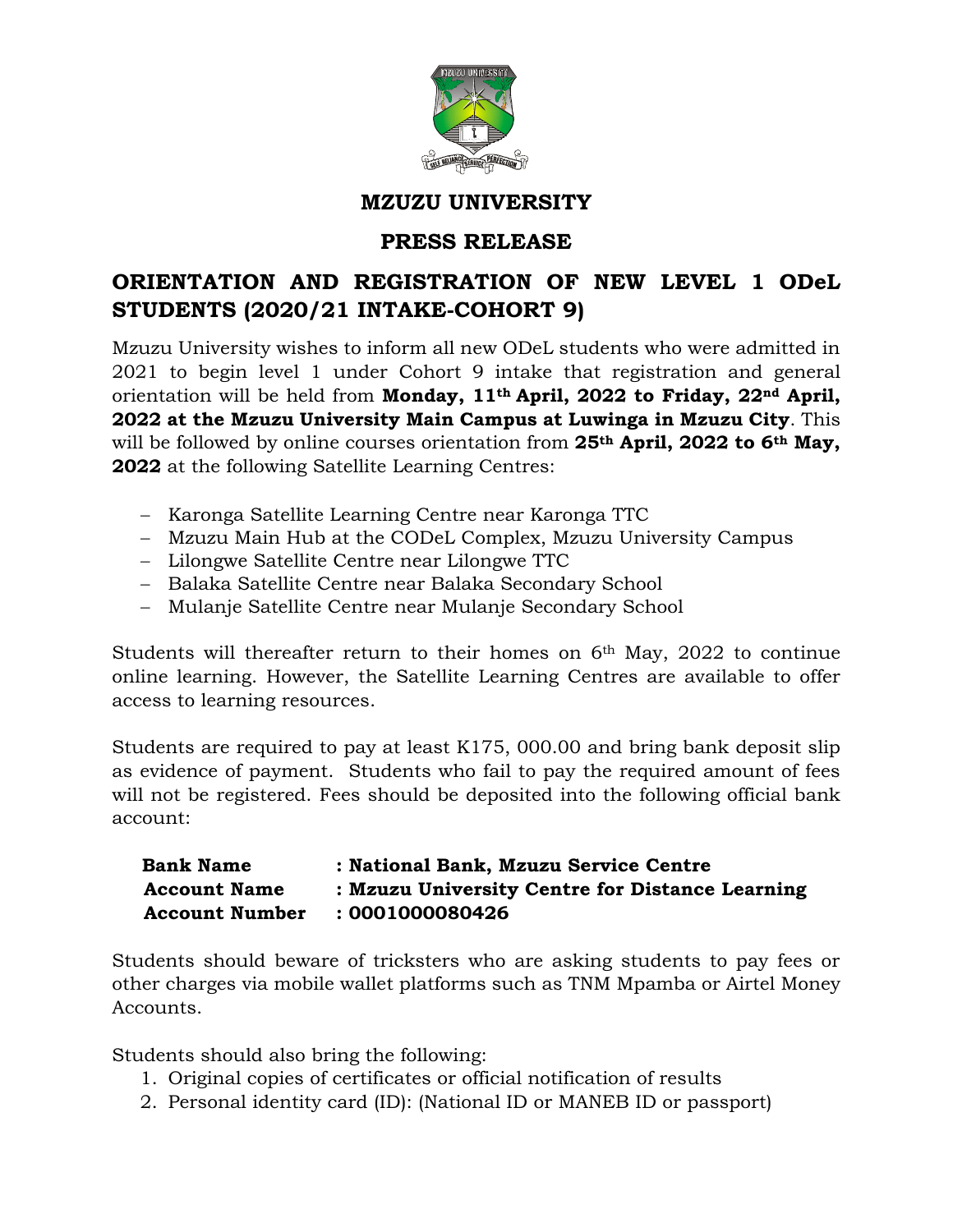

## **MZUZU UNIVERSITY**

## **PRESS RELEASE**

## **ORIENTATION AND REGISTRATION OF NEW LEVEL 1 ODeL STUDENTS (2020/21 INTAKE-COHORT 9)**

Mzuzu University wishes to inform all new ODeL students who were admitted in 2021 to begin level 1 under Cohort 9 intake that registration and general orientation will be held from **Monday, 11th April, 2022 to Friday, 22nd April, 2022 at the Mzuzu University Main Campus at Luwinga in Mzuzu City**. This will be followed by online courses orientation from **25th April, 2022 to 6th May, 2022** at the following Satellite Learning Centres:

- − Karonga Satellite Learning Centre near Karonga TTC
- − Mzuzu Main Hub at the CODeL Complex, Mzuzu University Campus
- − Lilongwe Satellite Centre near Lilongwe TTC
- − Balaka Satellite Centre near Balaka Secondary School
- − Mulanje Satellite Centre near Mulanje Secondary School

Students will thereafter return to their homes on 6<sup>th</sup> May, 2022 to continue online learning. However, the Satellite Learning Centres are available to offer access to learning resources.

Students are required to pay at least K175, 000.00 and bring bank deposit slip as evidence of payment. Students who fail to pay the required amount of fees will not be registered. Fees should be deposited into the following official bank account:

## **Bank Name : National Bank, Mzuzu Service Centre Account Name : Mzuzu University Centre for Distance Learning Account Number : 0001000080426**

Students should beware of tricksters who are asking students to pay fees or other charges via mobile wallet platforms such as TNM Mpamba or Airtel Money Accounts.

Students should also bring the following:

- 1. Original copies of certificates or official notification of results
- 2. Personal identity card (ID): (National ID or MANEB ID or passport)